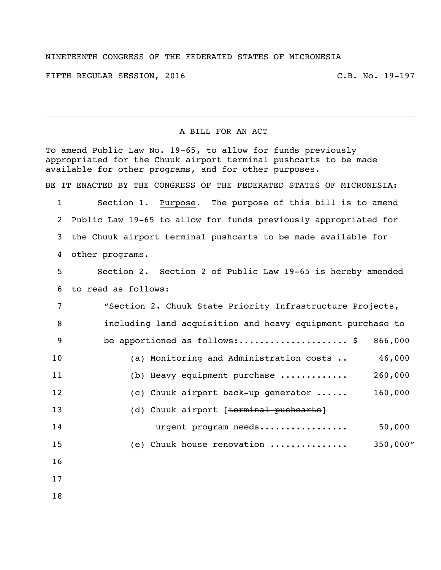## NINETEENTH CONGRESS OF THE FEDERATED STATES OF MICRONESIA

FIFTH REGULAR SESSION, 2016 C.B. No. 19-197

## A BILL FOR AN ACT

To amend Public Law No. 19-65, to allow for funds previously appropriated for the Chuuk airport terminal pushcarts to be made available for other programs, and for other purposes. BE IT ENACTED BY THE CONGRESS OF THE FEDERATED STATES OF MICRONESIA: 1 Section 1. Purpose. The purpose of this bill is to amend 2 Public Law 19-65 to allow for funds previously appropriated for 3 the Chuuk airport terminal pushcarts to be made available for 4 other programs. 5 Section 2. Section 2 of Public Law 19-65 is hereby amended 6 to read as follows: 7 "Section 2. Chuuk State Priority Infrastructure Projects, 8 including land acquisition and heavy equipment purchase to 9 be apportioned as follows:..........................\$ 866,000 10 (a) Monitoring and Administration costs .. 46,000 11 (b) Heavy equipment purchase ............. 260,000 12 (c) Chuuk airport back-up generator ...... 160,000 13 (d) Chuuk airport [terminal pushcarts] 14 urgent program needs................. 50,000 15 (e) Chuuk house renovation ............... 350,000" 16 17 18